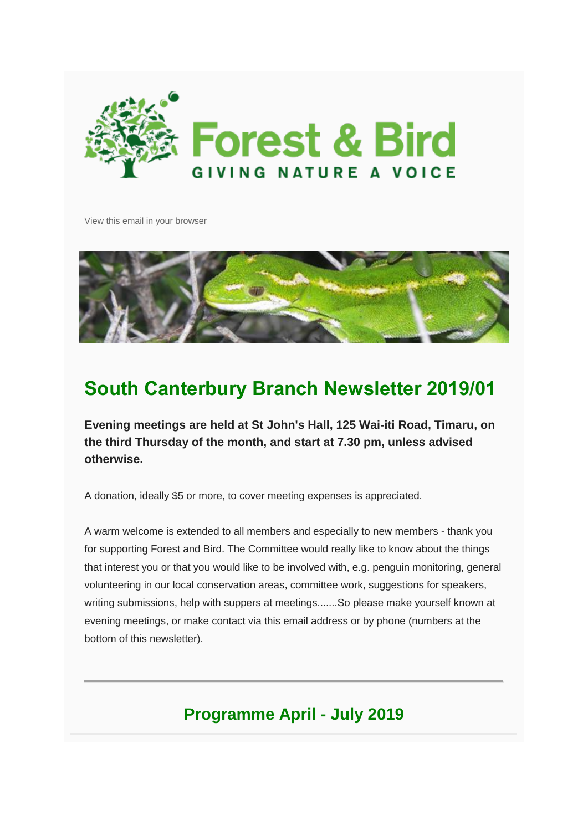

[View this email in your browser](https://mailchi.mp/b5a3ee03d3fc/programme-and-newsletter-201901?e=c78421f3a1)



# **South Canterbury Branch Newsletter 2019/01**

**Evening meetings are held at St John's Hall, 125 Wai-iti Road, Timaru, on the third Thursday of the month, and start at 7.30 pm, unless advised otherwise.**

A donation, ideally \$5 or more, to cover meeting expenses is appreciated.

A warm welcome is extended to all members and especially to new members - thank you for supporting Forest and Bird. The Committee would really like to know about the things that interest you or that you would like to be involved with, e.g. penguin monitoring, general volunteering in our local conservation areas, committee work, suggestions for speakers, writing submissions, help with suppers at meetings.......So please make yourself known at evening meetings, or make contact via this email address or by phone (numbers at the bottom of this newsletter).

# **Programme April - July 2019**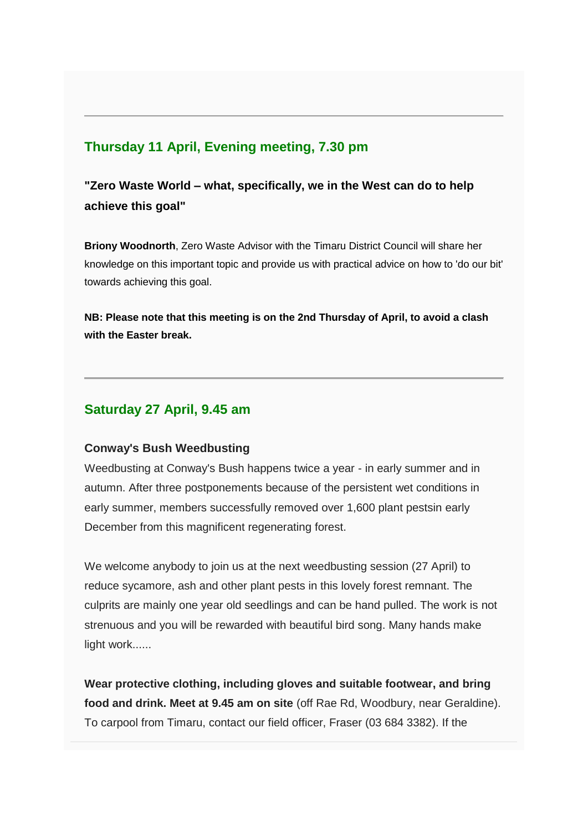# **Thursday 11 April, Evening meeting, 7.30 pm**

**"Zero Waste World – what, specifically, we in the West can do to help achieve this goal"** 

**Briony Woodnorth**, Zero Waste Advisor with the Timaru District Council will share her knowledge on this important topic and provide us with practical advice on how to 'do our bit' towards achieving this goal.

**NB: Please note that this meeting is on the 2nd Thursday of April, to avoid a clash with the Easter break.** 

# **Saturday 27 April, 9.45 am**

#### **Conway's Bush Weedbusting**

Weedbusting at Conway's Bush happens twice a year - in early summer and in autumn. After three postponements because of the persistent wet conditions in early summer, members successfully removed over 1,600 plant pestsin early December from this magnificent regenerating forest.

We welcome anybody to join us at the next weedbusting session (27 April) to reduce sycamore, ash and other plant pests in this lovely forest remnant. The culprits are mainly one year old seedlings and can be hand pulled. The work is not strenuous and you will be rewarded with beautiful bird song. Many hands make light work......

**Wear protective clothing, including gloves and suitable footwear, and bring food and drink. Meet at 9.45 am on site** (off Rae Rd, Woodbury, near Geraldine). To carpool from Timaru, contact our field officer, Fraser (03 684 3382). If the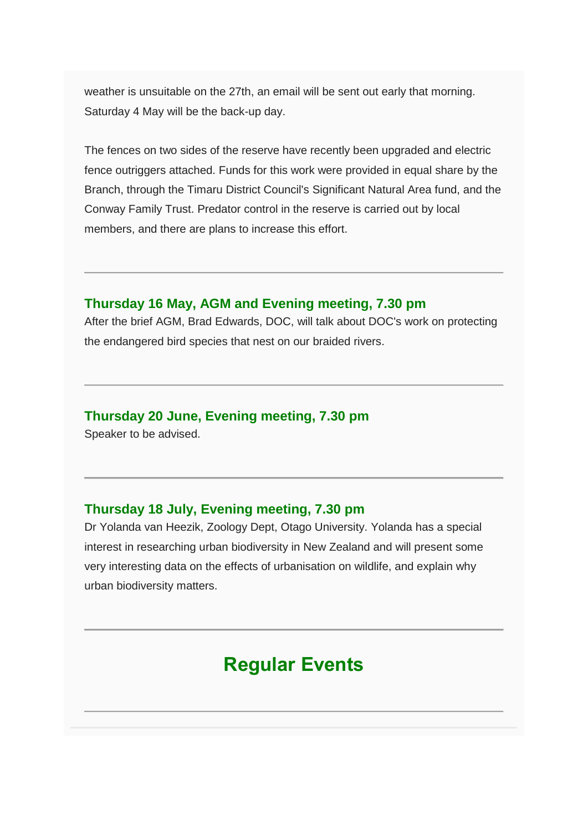weather is unsuitable on the 27th, an email will be sent out early that morning. Saturday 4 May will be the back-up day.

The fences on two sides of the reserve have recently been upgraded and electric fence outriggers attached. Funds for this work were provided in equal share by the Branch, through the Timaru District Council's Significant Natural Area fund, and the Conway Family Trust. Predator control in the reserve is carried out by local members, and there are plans to increase this effort.

#### **Thursday 16 May, AGM and Evening meeting, 7.30 pm**

After the brief AGM, Brad Edwards, DOC, will talk about DOC's work on protecting the endangered bird species that nest on our braided rivers.

## **Thursday 20 June, Evening meeting, 7.30 pm**

Speaker to be advised.

## **Thursday 18 July, Evening meeting, 7.30 pm**

Dr Yolanda van Heezik, Zoology Dept, Otago University. Yolanda has a special interest in researching urban biodiversity in New Zealand and will present some very interesting data on the effects of urbanisation on wildlife, and explain why urban biodiversity matters.

# **Regular Events**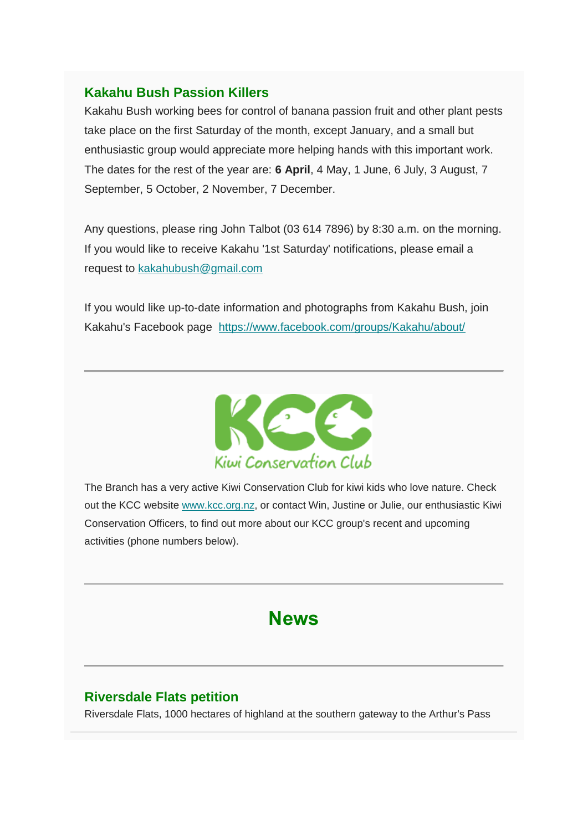## **Kakahu Bush Passion Killers**

Kakahu Bush working bees for control of banana passion fruit and other plant pests take place on the first Saturday of the month, except January, and a small but enthusiastic group would appreciate more helping hands with this important work. The dates for the rest of the year are: **6 April**, 4 May, 1 June, 6 July, 3 August, 7 September, 5 October, 2 November, 7 December.

Any questions, please ring John Talbot (03 614 7896) by 8:30 a.m. on the morning. If you would like to receive Kakahu '1st Saturday' notifications, please email a request to [kakahubush@gmail.com](https://forestandbird.us11.list-manage.com/track/click?u=ef80192a7f79308366fc9d0a5&id=9432eb7351&e=c78421f3a1)

If you would like up-to-date information and photographs from Kakahu Bush, join Kakahu's Facebook page [https://www.facebook.com/groups/Kakahu/about/](https://forestandbird.us11.list-manage.com/track/click?u=ef80192a7f79308366fc9d0a5&id=0a6d7ffad7&e=c78421f3a1)



The Branch has a very active Kiwi Conservation Club for kiwi kids who love nature. Check out the KCC website [www.kcc.org.nz,](https://forestandbird.us11.list-manage.com/track/click?u=ef80192a7f79308366fc9d0a5&id=d80ac5c9a6&e=c78421f3a1) or contact Win, Justine or Julie, our enthusiastic Kiwi Conservation Officers, to find out more about our KCC group's recent and upcoming activities (phone numbers below).

# **News**

# **Riversdale Flats petition**

Riversdale Flats, 1000 hectares of highland at the southern gateway to the Arthur's Pass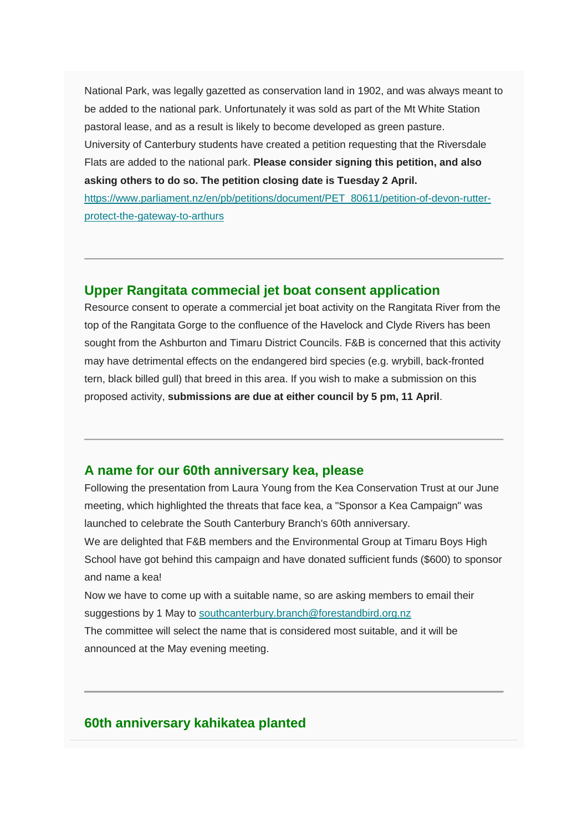National Park, was legally gazetted as conservation land in 1902, and was always meant to be added to the national park. Unfortunately it was sold as part of the Mt White Station pastoral lease, and as a result is likely to become developed as green pasture. University of Canterbury students have created a petition requesting that the Riversdale Flats are added to the national park. **Please consider signing this petition, and also asking others to do so. The petition closing date is Tuesday 2 April.**

[https://www.parliament.nz/en/pb/petitions/document/PET\\_80611/petition-of-devon-rutter](https://forestandbird.us11.list-manage.com/track/click?u=ef80192a7f79308366fc9d0a5&id=076632eaa9&e=c78421f3a1)[protect-the-gateway-to-arthurs](https://forestandbird.us11.list-manage.com/track/click?u=ef80192a7f79308366fc9d0a5&id=076632eaa9&e=c78421f3a1)

#### **Upper Rangitata commecial jet boat consent application**

Resource consent to operate a commercial jet boat activity on the Rangitata River from the top of the Rangitata Gorge to the confluence of the Havelock and Clyde Rivers has been sought from the Ashburton and Timaru District Councils. F&B is concerned that this activity may have detrimental effects on the endangered bird species (e.g. wrybill, back-fronted tern, black billed gull) that breed in this area. If you wish to make a submission on this proposed activity, **submissions are due at either council by 5 pm, 11 April**.

#### **A name for our 60th anniversary kea, please**

Following the presentation from Laura Young from the Kea Conservation Trust at our June meeting, which highlighted the threats that face kea, a "Sponsor a Kea Campaign" was launched to celebrate the South Canterbury Branch's 60th anniversary. We are delighted that F&B members and the Environmental Group at Timaru Boys High School have got behind this campaign and have donated sufficient funds (\$600) to sponsor and name a kea!

Now we have to come up with a suitable name, so are asking members to email their suggestions by 1 May to [southcanterbury.branch@forestandbird.org.nz](https://forestandbird.us11.list-manage.com/track/click?u=ef80192a7f79308366fc9d0a5&id=e14a88095f&e=c78421f3a1) The committee will select the name that is considered most suitable, and it will be announced at the May evening meeting.

#### **60th anniversary kahikatea planted**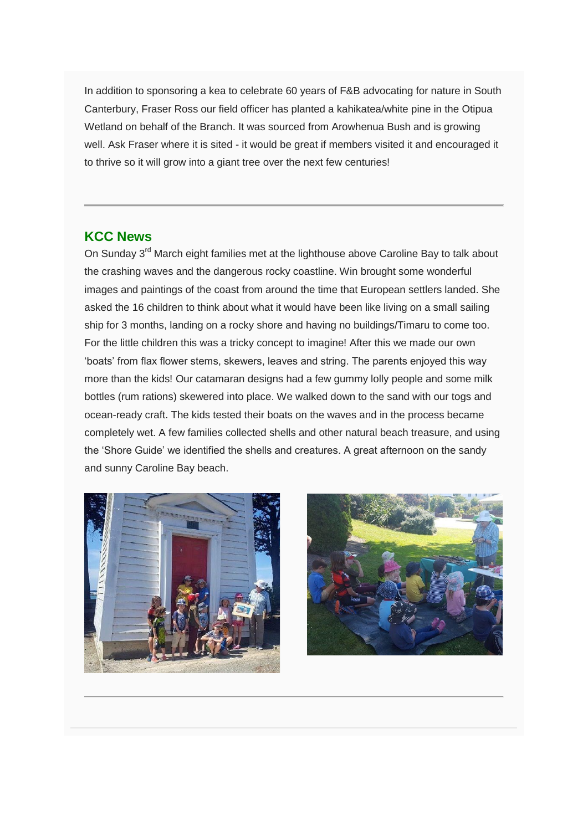In addition to sponsoring a kea to celebrate 60 years of F&B advocating for nature in South Canterbury, Fraser Ross our field officer has planted a kahikatea/white pine in the Otipua Wetland on behalf of the Branch. It was sourced from Arowhenua Bush and is growing well. Ask Fraser where it is sited - it would be great if members visited it and encouraged it to thrive so it will grow into a giant tree over the next few centuries!

#### **KCC News**

On Sunday 3<sup>rd</sup> March eight families met at the lighthouse above Caroline Bay to talk about the crashing waves and the dangerous rocky coastline. Win brought some wonderful images and paintings of the coast from around the time that European settlers landed. She asked the 16 children to think about what it would have been like living on a small sailing ship for 3 months, landing on a rocky shore and having no buildings/Timaru to come too. For the little children this was a tricky concept to imagine! After this we made our own 'boats' from flax flower stems, skewers, leaves and string. The parents enjoyed this way more than the kids! Our catamaran designs had a few gummy lolly people and some milk bottles (rum rations) skewered into place. We walked down to the sand with our togs and ocean-ready craft. The kids tested their boats on the waves and in the process became completely wet. A few families collected shells and other natural beach treasure, and using the 'Shore Guide' we identified the shells and creatures. A great afternoon on the sandy and sunny Caroline Bay beach.



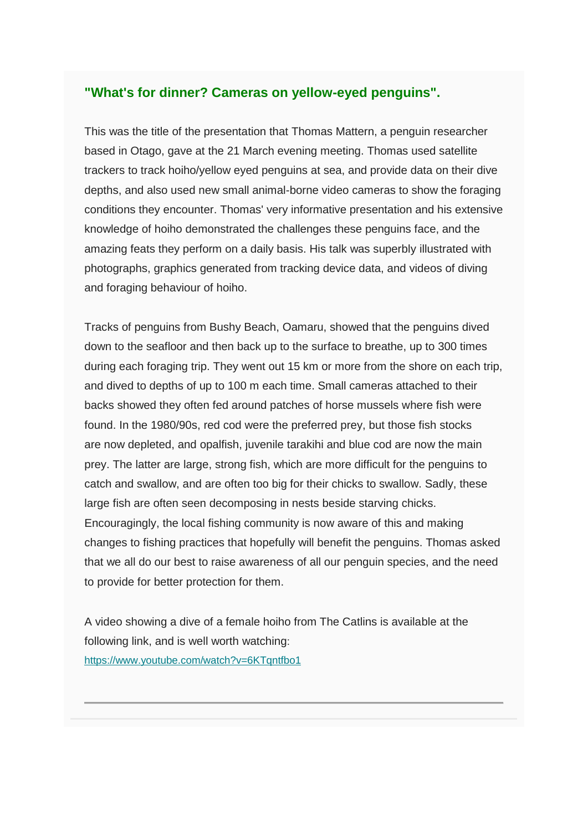#### **"What's for dinner? Cameras on yellow-eyed penguins".**

This was the title of the presentation that Thomas Mattern, a penguin researcher based in Otago, gave at the 21 March evening meeting. Thomas used satellite trackers to track hoiho/yellow eyed penguins at sea, and provide data on their dive depths, and also used new small animal-borne video cameras to show the foraging conditions they encounter. Thomas' very informative presentation and his extensive knowledge of hoiho demonstrated the challenges these penguins face, and the amazing feats they perform on a daily basis. His talk was superbly illustrated with photographs, graphics generated from tracking device data, and videos of diving and foraging behaviour of hoiho.

Tracks of penguins from Bushy Beach, Oamaru, showed that the penguins dived down to the seafloor and then back up to the surface to breathe, up to 300 times during each foraging trip. They went out 15 km or more from the shore on each trip, and dived to depths of up to 100 m each time. Small cameras attached to their backs showed they often fed around patches of horse mussels where fish were found. In the 1980/90s, red cod were the preferred prey, but those fish stocks are now depleted, and opalfish, juvenile tarakihi and blue cod are now the main prey. The latter are large, strong fish, which are more difficult for the penguins to catch and swallow, and are often too big for their chicks to swallow. Sadly, these large fish are often seen decomposing in nests beside starving chicks. Encouragingly, the local fishing community is now aware of this and making changes to fishing practices that hopefully will benefit the penguins. Thomas asked that we all do our best to raise awareness of all our penguin species, and the need to provide for better protection for them.

A video showing a dive of a female hoiho from The Catlins is available at the following link, and is well worth watching: [https://www.youtube.com/watch?v=6KTqntfbo1](https://forestandbird.us11.list-manage.com/track/click?u=ef80192a7f79308366fc9d0a5&id=997d141ef1&e=c78421f3a1)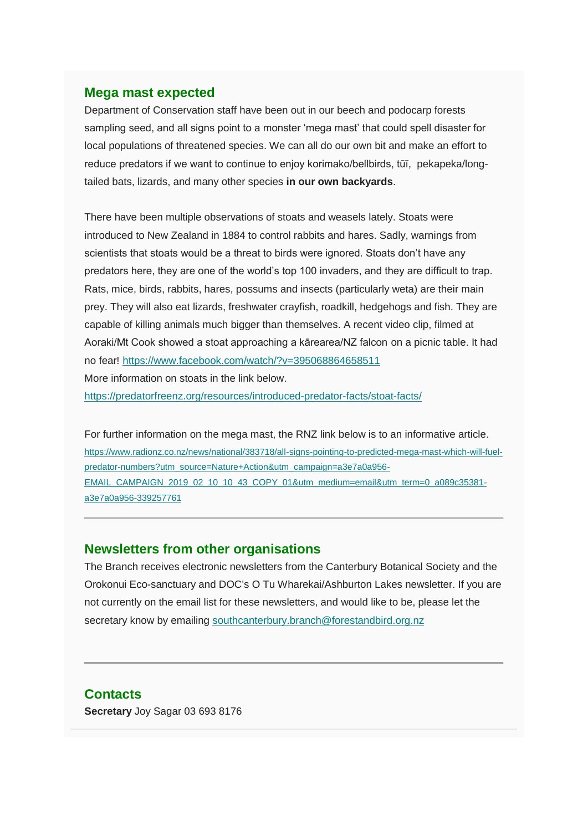#### **Mega mast expected**

Department of Conservation staff have been out in our beech and podocarp forests sampling seed, and all signs point to a monster 'mega mast' that could spell disaster for local populations of threatened species. We can all do our own bit and make an effort to reduce predators if we want to continue to enjoy korimako/bellbirds, tūī, pekapeka/longtailed bats, lizards, and many other species **in our own backyards**.

There have been multiple observations of stoats and weasels lately. Stoats were introduced to New Zealand in 1884 to control rabbits and hares. Sadly, warnings from scientists that stoats would be a threat to birds were ignored. Stoats don't have any predators here, they are one of the world's top 100 invaders, and they are difficult to trap. Rats, mice, birds, rabbits, hares, possums and insects (particularly weta) are their main prey. They will also eat lizards, freshwater crayfish, roadkill, hedgehogs and fish. They are capable of killing animals much bigger than themselves. A recent video clip, filmed at Aoraki/Mt Cook showed a stoat approaching a kārearea/NZ falcon on a picnic table. It had no fear! [https://www.facebook.com/watch/?v=395068864658511](https://forestandbird.us11.list-manage.com/track/click?u=ef80192a7f79308366fc9d0a5&id=13b084a03d&e=c78421f3a1) More information on stoats in the link below.

[https://predatorfreenz.org/resources/introduced-predator-facts/stoat-facts/](https://forestandbird.us11.list-manage.com/track/click?u=ef80192a7f79308366fc9d0a5&id=b913aa261d&e=c78421f3a1)

For further information on the mega mast, the RNZ link below is to an informative article. [https://www.radionz.co.nz/news/national/383718/all-signs-pointing-to-predicted-mega-mast-which-will-fuel](https://forestandbird.us11.list-manage.com/track/click?u=ef80192a7f79308366fc9d0a5&id=7afbfcc1d5&e=c78421f3a1)[predator-numbers?utm\\_source=Nature+Action&utm\\_campaign=a3e7a0a956-](https://forestandbird.us11.list-manage.com/track/click?u=ef80192a7f79308366fc9d0a5&id=7afbfcc1d5&e=c78421f3a1) [EMAIL\\_CAMPAIGN\\_2019\\_02\\_10\\_10\\_43\\_COPY\\_01&utm\\_medium=email&utm\\_term=0\\_a089c35381](https://forestandbird.us11.list-manage.com/track/click?u=ef80192a7f79308366fc9d0a5&id=7afbfcc1d5&e=c78421f3a1) [a3e7a0a956-339257761](https://forestandbird.us11.list-manage.com/track/click?u=ef80192a7f79308366fc9d0a5&id=7afbfcc1d5&e=c78421f3a1)

#### **Newsletters from other organisations**

The Branch receives electronic newsletters from the Canterbury Botanical Society and the Orokonui Eco-sanctuary and DOC's O Tu Wharekai/Ashburton Lakes newsletter. If you are not currently on the email list for these newsletters, and would like to be, please let the secretary know by emailing [southcanterbury.branch@forestandbird.org.nz](https://forestandbird.us11.list-manage.com/track/click?u=ef80192a7f79308366fc9d0a5&id=1e5cd22c7f&e=c78421f3a1)

#### **Contacts**

**Secretary** Joy Sagar 03 693 8176